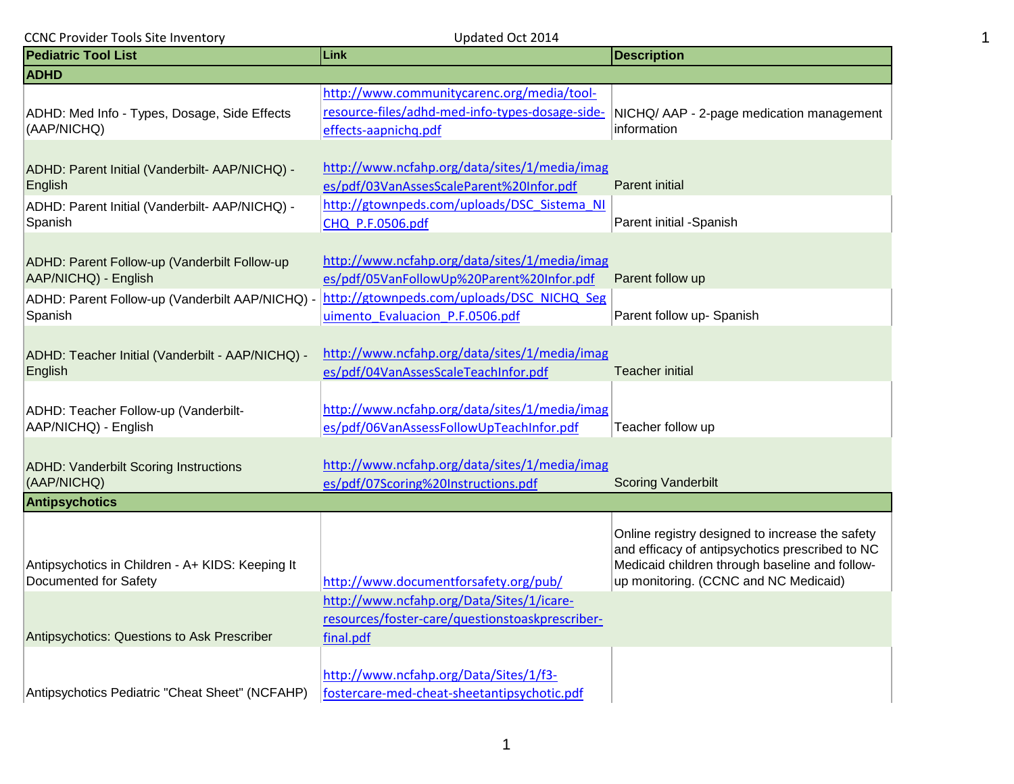| Updated Oct 2014<br><b>CCNC Provider Tools Site Inventory</b>                                                           |                                                                                                                                          |                                                                                                                                                                                               |
|-------------------------------------------------------------------------------------------------------------------------|------------------------------------------------------------------------------------------------------------------------------------------|-----------------------------------------------------------------------------------------------------------------------------------------------------------------------------------------------|
| <b>Pediatric Tool List</b>                                                                                              | Link                                                                                                                                     | <b>Description</b>                                                                                                                                                                            |
| <b>ADHD</b>                                                                                                             |                                                                                                                                          |                                                                                                                                                                                               |
| ADHD: Med Info - Types, Dosage, Side Effects<br>(AAP/NICHQ)                                                             | http://www.communitycarenc.org/media/tool-<br>resource-files/adhd-med-info-types-dosage-side-<br>effects-aapnichq.pdf                    | NICHQ/ AAP - 2-page medication management<br>information                                                                                                                                      |
|                                                                                                                         |                                                                                                                                          |                                                                                                                                                                                               |
| ADHD: Parent Initial (Vanderbilt- AAP/NICHQ) -<br>English                                                               | http://www.ncfahp.org/data/sites/1/media/imag<br>es/pdf/03VanAssesScaleParent%20Infor.pdf                                                | <b>Parent initial</b>                                                                                                                                                                         |
| ADHD: Parent Initial (Vanderbilt- AAP/NICHQ) -<br>Spanish                                                               | http://gtownpeds.com/uploads/DSC Sistema NI<br>CHQ P.F.0506.pdf                                                                          | Parent initial -Spanish                                                                                                                                                                       |
| ADHD: Parent Follow-up (Vanderbilt Follow-up<br>AAP/NICHQ) - English<br>ADHD: Parent Follow-up (Vanderbilt AAP/NICHQ) - | http://www.ncfahp.org/data/sites/1/media/imag<br>es/pdf/05VanFollowUp%20Parent%20Infor.pdf<br>http://gtownpeds.com/uploads/DSC_NICHQ_Seg | Parent follow up                                                                                                                                                                              |
| Spanish                                                                                                                 | uimento Evaluacion P.F.0506.pdf                                                                                                          | Parent follow up- Spanish                                                                                                                                                                     |
| ADHD: Teacher Initial (Vanderbilt - AAP/NICHQ) -<br>English                                                             | http://www.ncfahp.org/data/sites/1/media/imag<br>es/pdf/04VanAssesScaleTeachInfor.pdf                                                    | <b>Teacher initial</b>                                                                                                                                                                        |
| ADHD: Teacher Follow-up (Vanderbilt-<br>AAP/NICHQ) - English                                                            | http://www.ncfahp.org/data/sites/1/media/imag<br>es/pdf/06VanAssessFollowUpTeachInfor.pdf                                                | Teacher follow up                                                                                                                                                                             |
| <b>ADHD: Vanderbilt Scoring Instructions</b><br>(AAP/NICHQ)                                                             | http://www.ncfahp.org/data/sites/1/media/imag<br>es/pdf/07Scoring%20Instructions.pdf                                                     | <b>Scoring Vanderbilt</b>                                                                                                                                                                     |
| <b>Antipsychotics</b>                                                                                                   |                                                                                                                                          |                                                                                                                                                                                               |
| Antipsychotics in Children - A+ KIDS: Keeping It<br>Documented for Safety                                               | http://www.documentforsafety.org/pub/                                                                                                    | Online registry designed to increase the safety<br>and efficacy of antipsychotics prescribed to NC<br>Medicaid children through baseline and follow-<br>up monitoring. (CCNC and NC Medicaid) |
| Antipsychotics: Questions to Ask Prescriber                                                                             | http://www.ncfahp.org/Data/Sites/1/icare-<br>resources/foster-care/questionstoaskprescriber-<br>final.pdf                                |                                                                                                                                                                                               |
| Antipsychotics Pediatric "Cheat Sheet" (NCFAHP)                                                                         | http://www.ncfahp.org/Data/Sites/1/f3-<br>fostercare-med-cheat-sheetantipsychotic.pdf                                                    |                                                                                                                                                                                               |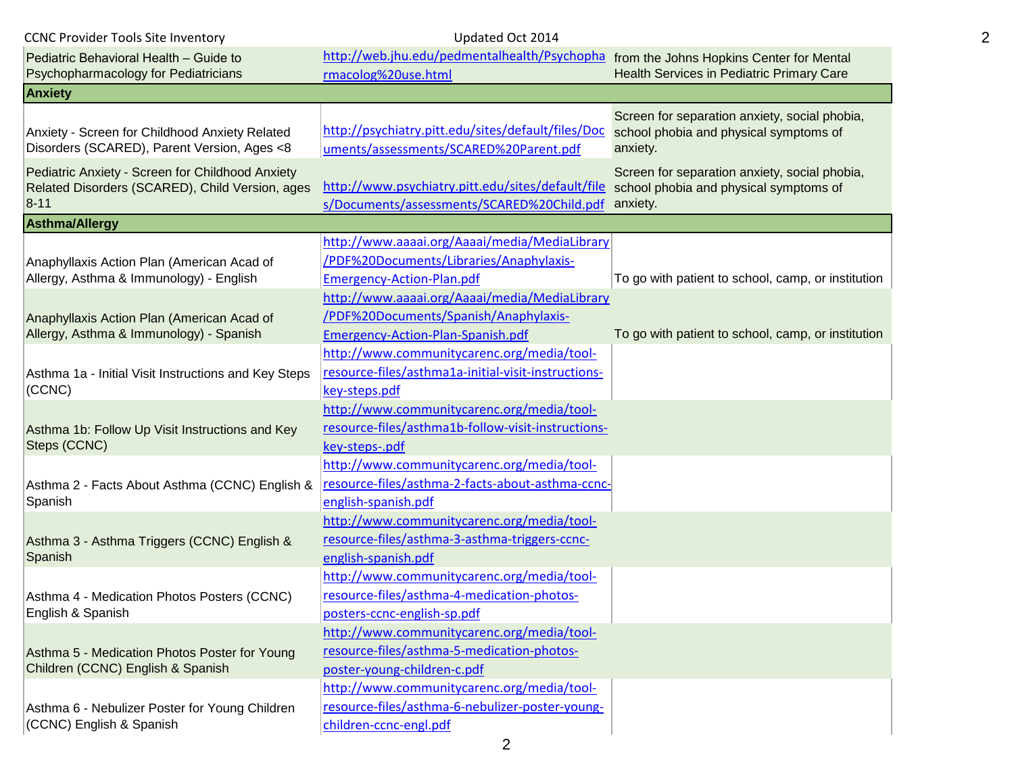| <b>CCNC Provider Tools Site Inventory</b>                                                                       | Updated Oct 2014                                                                                                                                                 |                                                                                                     |  |
|-----------------------------------------------------------------------------------------------------------------|------------------------------------------------------------------------------------------------------------------------------------------------------------------|-----------------------------------------------------------------------------------------------------|--|
| Pediatric Behavioral Health - Guide to                                                                          | http://web.jhu.edu/pedmentalhealth/Psychopha from the Johns Hopkins Center for Mental                                                                            |                                                                                                     |  |
| Psychopharmacology for Pediatricians                                                                            | rmacolog%20use.html                                                                                                                                              | Health Services in Pediatric Primary Care                                                           |  |
| <b>Anxiety</b>                                                                                                  |                                                                                                                                                                  |                                                                                                     |  |
| Anxiety - Screen for Childhood Anxiety Related<br>Disorders (SCARED), Parent Version, Ages <8                   | http://psychiatry.pitt.edu/sites/default/files/Doc<br>uments/assessments/SCARED%20Parent.pdf                                                                     | Screen for separation anxiety, social phobia,<br>school phobia and physical symptoms of<br>anxiety. |  |
| Pediatric Anxiety - Screen for Childhood Anxiety<br>Related Disorders (SCARED), Child Version, ages<br>$8 - 11$ | http://www.psychiatry.pitt.edu/sites/default/file<br>s/Documents/assessments/SCARED%20Child.pdf anxiety.                                                         | Screen for separation anxiety, social phobia,<br>school phobia and physical symptoms of             |  |
| <b>Asthma/Allergy</b>                                                                                           |                                                                                                                                                                  |                                                                                                     |  |
| Anaphyllaxis Action Plan (American Acad of<br>Allergy, Asthma & Immunology) - English                           | http://www.aaaai.org/Aaaai/media/MediaLibrary<br>/PDF%20Documents/Libraries/Anaphylaxis-<br><b>Emergency-Action-Plan.pdf</b>                                     | To go with patient to school, camp, or institution                                                  |  |
| Anaphyllaxis Action Plan (American Acad of<br>Allergy, Asthma & Immunology) - Spanish                           | http://www.aaaai.org/Aaaai/media/MediaLibrary<br>/PDF%20Documents/Spanish/Anaphylaxis-<br>Emergency-Action-Plan-Spanish.pdf                                      | To go with patient to school, camp, or institution                                                  |  |
| Asthma 1a - Initial Visit Instructions and Key Steps<br>(CCNC)                                                  | http://www.communitycarenc.org/media/tool-<br>resource-files/asthma1a-initial-visit-instructions-<br>key-steps.pdf                                               |                                                                                                     |  |
| Asthma 1b: Follow Up Visit Instructions and Key<br>Steps (CCNC)                                                 | http://www.communitycarenc.org/media/tool-<br>resource-files/asthma1b-follow-visit-instructions-<br>key-steps-.pdf<br>http://www.communitycarenc.org/media/tool- |                                                                                                     |  |
| Asthma 2 - Facts About Asthma (CCNC) English &<br>Spanish                                                       | resource-files/asthma-2-facts-about-asthma-ccnc-<br>english-spanish.pdf                                                                                          |                                                                                                     |  |
| Asthma 3 - Asthma Triggers (CCNC) English &<br>Spanish                                                          | http://www.communitycarenc.org/media/tool-<br>resource-files/asthma-3-asthma-triggers-ccnc-<br>english-spanish.pdf                                               |                                                                                                     |  |
| Asthma 4 - Medication Photos Posters (CCNC)<br>English & Spanish                                                | http://www.communitycarenc.org/media/tool-<br>resource-files/asthma-4-medication-photos-<br>posters-ccnc-english-sp.pdf                                          |                                                                                                     |  |
| Asthma 5 - Medication Photos Poster for Young<br>Children (CCNC) English & Spanish                              | http://www.communitycarenc.org/media/tool-<br>resource-files/asthma-5-medication-photos-<br>poster-young-children-c.pdf                                          |                                                                                                     |  |
| Asthma 6 - Nebulizer Poster for Young Children<br>(CCNC) English & Spanish                                      | http://www.communitycarenc.org/media/tool-<br>resource-files/asthma-6-nebulizer-poster-young-<br>children-ccnc-engl.pdf                                          |                                                                                                     |  |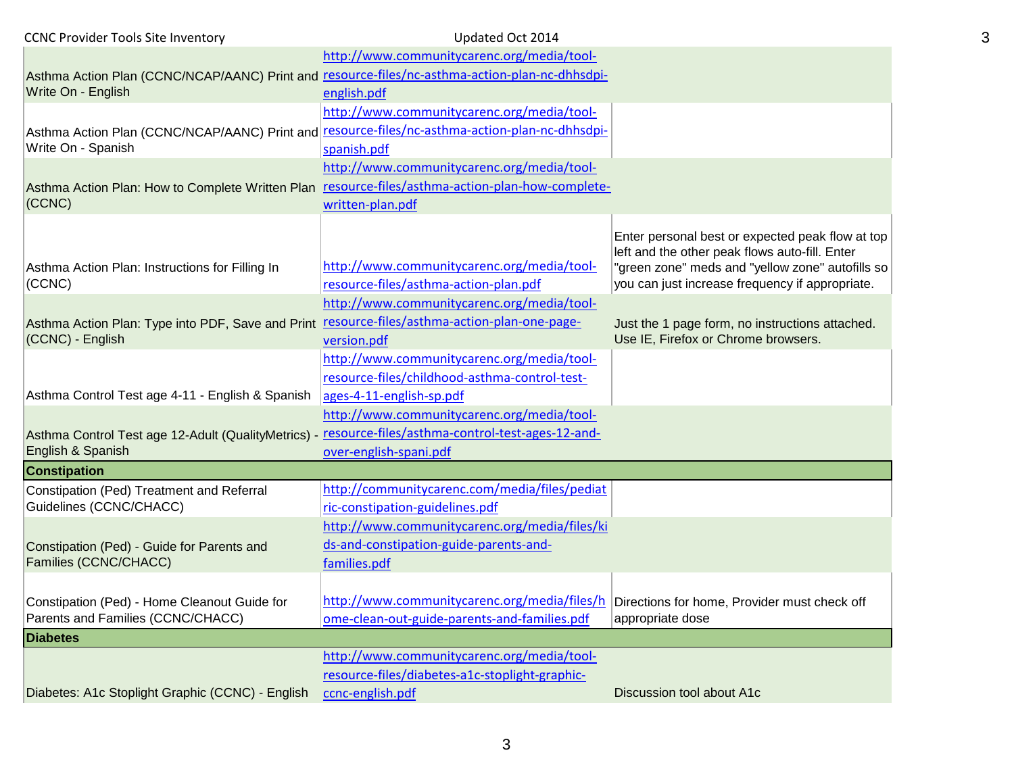| <b>CCNC Provider Tools Site Inventory</b>                                                           | Updated Oct 2014                                                                          |                                                                                                                                                        |
|-----------------------------------------------------------------------------------------------------|-------------------------------------------------------------------------------------------|--------------------------------------------------------------------------------------------------------------------------------------------------------|
|                                                                                                     | http://www.communitycarenc.org/media/tool-                                                |                                                                                                                                                        |
| Asthma Action Plan (CCNC/NCAP/AANC) Print and resource-files/nc-asthma-action-plan-nc-dhhsdpi-      |                                                                                           |                                                                                                                                                        |
| Write On - English                                                                                  | english.pdf                                                                               |                                                                                                                                                        |
|                                                                                                     | http://www.communitycarenc.org/media/tool-                                                |                                                                                                                                                        |
| Asthma Action Plan (CCNC/NCAP/AANC) Print and resource-files/nc-asthma-action-plan-nc-dhhsdpi-      |                                                                                           |                                                                                                                                                        |
| Write On - Spanish                                                                                  | spanish.pdf                                                                               |                                                                                                                                                        |
|                                                                                                     | http://www.communitycarenc.org/media/tool-                                                |                                                                                                                                                        |
| Asthma Action Plan: How to Complete Written Plan resource-files/asthma-action-plan-how-complete-    |                                                                                           |                                                                                                                                                        |
| (CCNC)                                                                                              | written-plan.pdf                                                                          |                                                                                                                                                        |
| Asthma Action Plan: Instructions for Filling In                                                     | http://www.communitycarenc.org/media/tool-                                                | Enter personal best or expected peak flow at top<br>left and the other peak flows auto-fill. Enter<br>"green zone" meds and "yellow zone" autofills so |
| (CCNC)                                                                                              | resource-files/asthma-action-plan.pdf                                                     | you can just increase frequency if appropriate.                                                                                                        |
|                                                                                                     | http://www.communitycarenc.org/media/tool-                                                |                                                                                                                                                        |
| Asthma Action Plan: Type into PDF, Save and Print resource-files/asthma-action-plan-one-page-       |                                                                                           | Just the 1 page form, no instructions attached.                                                                                                        |
| (CCNC) - English                                                                                    | version.pdf                                                                               | Use IE, Firefox or Chrome browsers.                                                                                                                    |
|                                                                                                     | http://www.communitycarenc.org/media/tool-                                                |                                                                                                                                                        |
|                                                                                                     | resource-files/childhood-asthma-control-test-                                             |                                                                                                                                                        |
| Asthma Control Test age 4-11 - English & Spanish                                                    | ages-4-11-english-sp.pdf                                                                  |                                                                                                                                                        |
|                                                                                                     | http://www.communitycarenc.org/media/tool-                                                |                                                                                                                                                        |
| Asthma Control Test age 12-Adult (QualityMetrics) - resource-files/asthma-control-test-ages-12-and- |                                                                                           |                                                                                                                                                        |
| English & Spanish                                                                                   | over-english-spani.pdf                                                                    |                                                                                                                                                        |
| <b>Constipation</b>                                                                                 |                                                                                           |                                                                                                                                                        |
| Constipation (Ped) Treatment and Referral                                                           | http://communitycarenc.com/media/files/pediat                                             |                                                                                                                                                        |
| Guidelines (CCNC/CHACC)                                                                             | ric-constipation-guidelines.pdf                                                           |                                                                                                                                                        |
|                                                                                                     | http://www.communitycarenc.org/media/files/ki                                             |                                                                                                                                                        |
| Constipation (Ped) - Guide for Parents and                                                          | ds-and-constipation-guide-parents-and-                                                    |                                                                                                                                                        |
| Families (CCNC/CHACC)                                                                               | families.pdf                                                                              |                                                                                                                                                        |
|                                                                                                     |                                                                                           |                                                                                                                                                        |
| Constipation (Ped) - Home Cleanout Guide for                                                        | http://www.communitycarenc.org/media/files/h Directions for home, Provider must check off |                                                                                                                                                        |
| Parents and Families (CCNC/CHACC)                                                                   | ome-clean-out-guide-parents-and-families.pdf                                              | appropriate dose                                                                                                                                       |
| <b>Diabetes</b>                                                                                     |                                                                                           |                                                                                                                                                        |
|                                                                                                     | http://www.communitycarenc.org/media/tool-                                                |                                                                                                                                                        |
|                                                                                                     | resource-files/diabetes-a1c-stoplight-graphic-                                            |                                                                                                                                                        |
| Diabetes: A1c Stoplight Graphic (CCNC) - English                                                    | ccnc-english.pdf                                                                          | Discussion tool about A1c                                                                                                                              |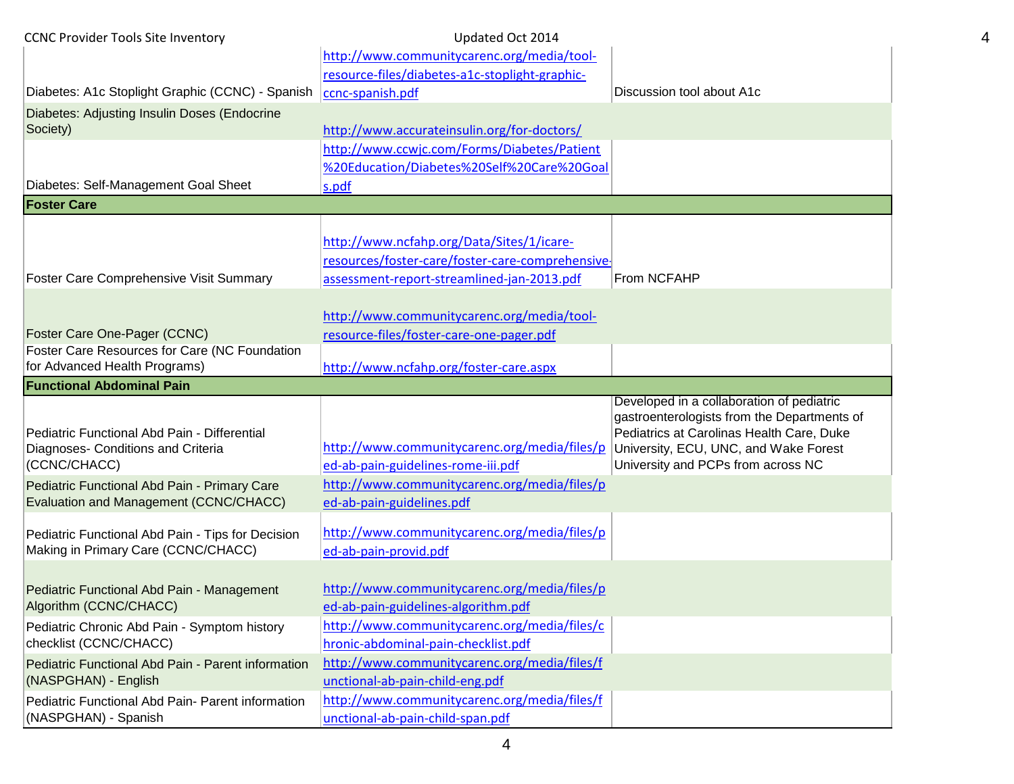| <b>CCNC Provider Tools Site Inventory</b>                                                | Updated Oct 2014                                                                          |                                                                                          |
|------------------------------------------------------------------------------------------|-------------------------------------------------------------------------------------------|------------------------------------------------------------------------------------------|
|                                                                                          | http://www.communitycarenc.org/media/tool-                                                |                                                                                          |
|                                                                                          | resource-files/diabetes-a1c-stoplight-graphic-                                            |                                                                                          |
| Diabetes: A1c Stoplight Graphic (CCNC) - Spanish   ccnc-spanish.pdf                      |                                                                                           | Discussion tool about A1c                                                                |
| Diabetes: Adjusting Insulin Doses (Endocrine                                             |                                                                                           |                                                                                          |
| Society)                                                                                 | http://www.accurateinsulin.org/for-doctors/                                               |                                                                                          |
|                                                                                          | http://www.ccwjc.com/Forms/Diabetes/Patient<br>%20Education/Diabetes%20Self%20Care%20Goal |                                                                                          |
| Diabetes: Self-Management Goal Sheet                                                     | s.pdf                                                                                     |                                                                                          |
| <b>Foster Care</b>                                                                       |                                                                                           |                                                                                          |
|                                                                                          |                                                                                           |                                                                                          |
|                                                                                          | http://www.ncfahp.org/Data/Sites/1/icare-                                                 |                                                                                          |
|                                                                                          | resources/foster-care/foster-care-comprehensive-                                          |                                                                                          |
| Foster Care Comprehensive Visit Summary                                                  | assessment-report-streamlined-jan-2013.pdf                                                | From NCFAHP                                                                              |
|                                                                                          |                                                                                           |                                                                                          |
|                                                                                          | http://www.communitycarenc.org/media/tool-                                                |                                                                                          |
| Foster Care One-Pager (CCNC)                                                             | resource-files/foster-care-one-pager.pdf                                                  |                                                                                          |
| Foster Care Resources for Care (NC Foundation                                            |                                                                                           |                                                                                          |
| for Advanced Health Programs)                                                            | http://www.ncfahp.org/foster-care.aspx                                                    |                                                                                          |
| <b>Functional Abdominal Pain</b>                                                         |                                                                                           | Developed in a collaboration of pediatric                                                |
|                                                                                          |                                                                                           |                                                                                          |
|                                                                                          |                                                                                           |                                                                                          |
| Pediatric Functional Abd Pain - Differential                                             |                                                                                           | gastroenterologists from the Departments of<br>Pediatrics at Carolinas Health Care, Duke |
| Diagnoses- Conditions and Criteria                                                       | http://www.communitycarenc.org/media/files/p                                              | University, ECU, UNC, and Wake Forest                                                    |
| (CCNC/CHACC)                                                                             | ed-ab-pain-guidelines-rome-iii.pdf                                                        | University and PCPs from across NC                                                       |
| Pediatric Functional Abd Pain - Primary Care                                             | http://www.communitycarenc.org/media/files/p                                              |                                                                                          |
| Evaluation and Management (CCNC/CHACC)                                                   | ed-ab-pain-guidelines.pdf                                                                 |                                                                                          |
|                                                                                          | http://www.communitycarenc.org/media/files/p                                              |                                                                                          |
| Pediatric Functional Abd Pain - Tips for Decision<br>Making in Primary Care (CCNC/CHACC) | ed-ab-pain-provid.pdf                                                                     |                                                                                          |
|                                                                                          |                                                                                           |                                                                                          |
| Pediatric Functional Abd Pain - Management                                               | http://www.communitycarenc.org/media/files/p                                              |                                                                                          |
| Algorithm (CCNC/CHACC)                                                                   | ed-ab-pain-guidelines-algorithm.pdf                                                       |                                                                                          |
| Pediatric Chronic Abd Pain - Symptom history                                             | http://www.communitycarenc.org/media/files/c                                              |                                                                                          |
| checklist (CCNC/CHACC)                                                                   | hronic-abdominal-pain-checklist.pdf                                                       |                                                                                          |
| Pediatric Functional Abd Pain - Parent information                                       | http://www.communitycarenc.org/media/files/f                                              |                                                                                          |
| (NASPGHAN) - English                                                                     | unctional-ab-pain-child-eng.pdf                                                           |                                                                                          |
| Pediatric Functional Abd Pain- Parent information<br>(NASPGHAN) - Spanish                | http://www.communitycarenc.org/media/files/f<br>unctional-ab-pain-child-span.pdf          |                                                                                          |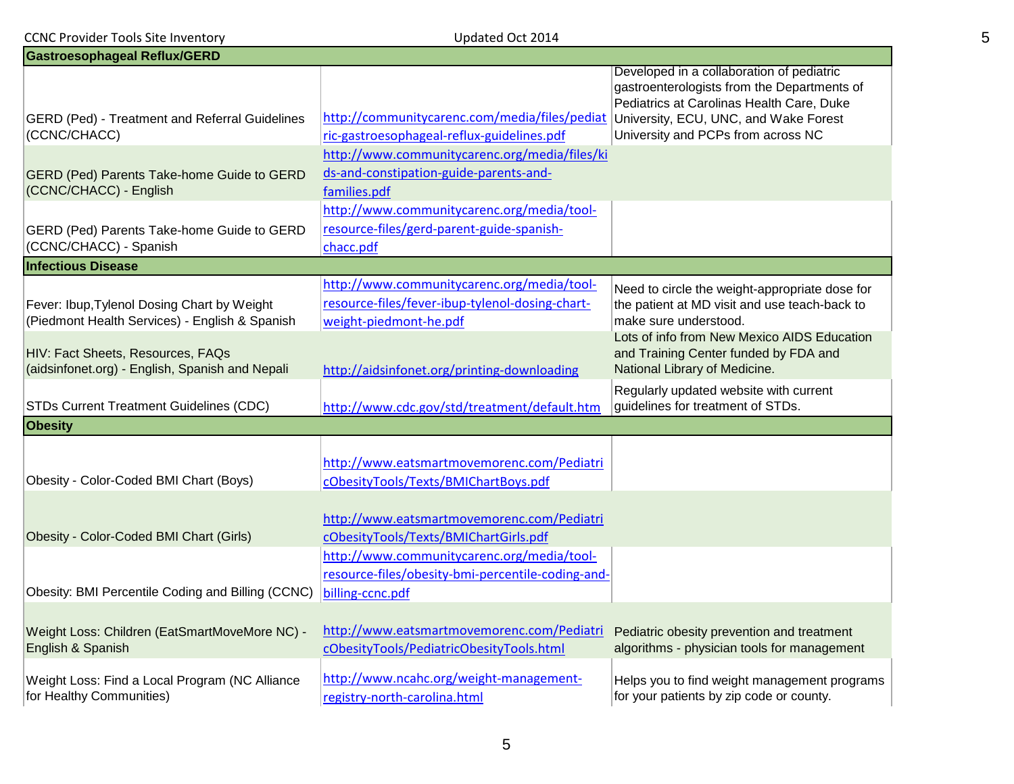| <b>CCNC Provider Tools Site Inventory</b><br>Updated Oct 2014                                 |                                                                                                                                   |                                                                                                                                                                                                                      |  |
|-----------------------------------------------------------------------------------------------|-----------------------------------------------------------------------------------------------------------------------------------|----------------------------------------------------------------------------------------------------------------------------------------------------------------------------------------------------------------------|--|
| <b>Gastroesophageal Reflux/GERD</b>                                                           |                                                                                                                                   |                                                                                                                                                                                                                      |  |
| <b>GERD (Ped) - Treatment and Referral Guidelines</b><br>(CCNC/CHACC)                         | http://communitycarenc.com/media/files/pediat<br>ric-gastroesophageal-reflux-guidelines.pdf                                       | Developed in a collaboration of pediatric<br>gastroenterologists from the Departments of<br>Pediatrics at Carolinas Health Care, Duke<br>University, ECU, UNC, and Wake Forest<br>University and PCPs from across NC |  |
| <b>GERD (Ped) Parents Take-home Guide to GERD</b><br>(CCNC/CHACC) - English                   | http://www.communitycarenc.org/media/files/ki<br>ds-and-constipation-guide-parents-and-<br>families.pdf                           |                                                                                                                                                                                                                      |  |
| <b>GERD (Ped) Parents Take-home Guide to GERD</b><br>(CCNC/CHACC) - Spanish                   | http://www.communitycarenc.org/media/tool-<br>resource-files/gerd-parent-guide-spanish-<br>chacc.pdf                              |                                                                                                                                                                                                                      |  |
| <b>Infectious Disease</b>                                                                     |                                                                                                                                   |                                                                                                                                                                                                                      |  |
| Fever: Ibup, Tylenol Dosing Chart by Weight<br>(Piedmont Health Services) - English & Spanish | http://www.communitycarenc.org/media/tool-<br>resource-files/fever-ibup-tylenol-dosing-chart-<br>weight-piedmont-he.pdf           | Need to circle the weight-appropriate dose for<br>the patient at MD visit and use teach-back to<br>make sure understood.                                                                                             |  |
| HIV: Fact Sheets, Resources, FAQs<br>(aidsinfonet.org) - English, Spanish and Nepali          | http://aidsinfonet.org/printing-downloading                                                                                       | Lots of info from New Mexico AIDS Education<br>and Training Center funded by FDA and<br>National Library of Medicine.                                                                                                |  |
| <b>STDs Current Treatment Guidelines (CDC)</b>                                                | http://www.cdc.gov/std/treatment/default.htm                                                                                      | Regularly updated website with current<br>guidelines for treatment of STDs.                                                                                                                                          |  |
| <b>Obesity</b>                                                                                |                                                                                                                                   |                                                                                                                                                                                                                      |  |
| Obesity - Color-Coded BMI Chart (Boys)                                                        | http://www.eatsmartmovemorenc.com/Pediatri<br>cObesityTools/Texts/BMIChartBoys.pdf                                                |                                                                                                                                                                                                                      |  |
| Obesity - Color-Coded BMI Chart (Girls)                                                       | http://www.eatsmartmovemorenc.com/Pediatri<br>cObesityTools/Texts/BMIChartGirls.pdf<br>http://www.communitycarenc.org/media/tool- |                                                                                                                                                                                                                      |  |
| Obesity: BMI Percentile Coding and Billing (CCNC)                                             | resource-files/obesity-bmi-percentile-coding-and-<br>billing-ccnc.pdf                                                             |                                                                                                                                                                                                                      |  |
| Weight Loss: Children (EatSmartMoveMore NC) -<br>English & Spanish                            | http://www.eatsmartmovemorenc.com/Pediatri<br>cObesityTools/PediatricObesityTools.html                                            | Pediatric obesity prevention and treatment<br>algorithms - physician tools for management                                                                                                                            |  |
| Weight Loss: Find a Local Program (NC Alliance<br>for Healthy Communities)                    | http://www.ncahc.org/weight-management-<br>registry-north-carolina.html                                                           | Helps you to find weight management programs<br>for your patients by zip code or county.                                                                                                                             |  |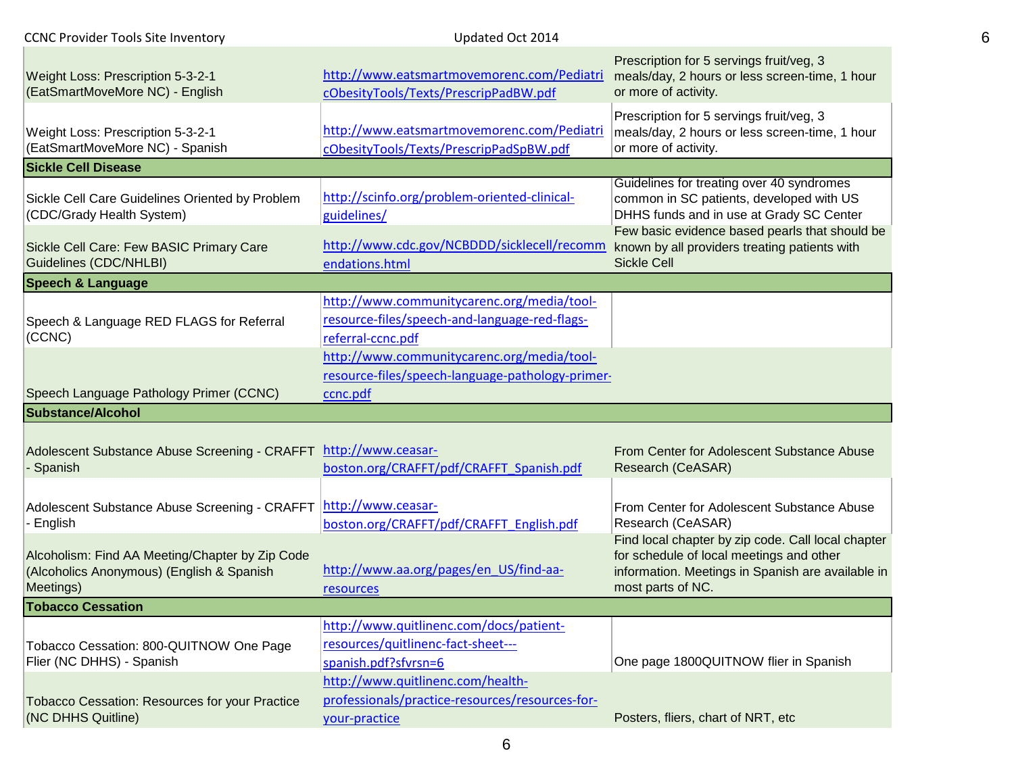| <b>CCNC Provider Tools Site Inventory</b>                                                                 | Updated Oct 2014                                                                                                 |                                                                                                                                                                          |
|-----------------------------------------------------------------------------------------------------------|------------------------------------------------------------------------------------------------------------------|--------------------------------------------------------------------------------------------------------------------------------------------------------------------------|
| Weight Loss: Prescription 5-3-2-1<br>(EatSmartMoveMore NC) - English                                      | http://www.eatsmartmovemorenc.com/Pediatri<br>cObesityTools/Texts/PrescripPadBW.pdf                              | Prescription for 5 servings fruit/veg, 3<br>meals/day, 2 hours or less screen-time, 1 hour<br>or more of activity.                                                       |
| Weight Loss: Prescription 5-3-2-1<br>(EatSmartMoveMore NC) - Spanish                                      | http://www.eatsmartmovemorenc.com/Pediatri<br>cObesityTools/Texts/PrescripPadSpBW.pdf                            | Prescription for 5 servings fruit/veg, 3<br>meals/day, 2 hours or less screen-time, 1 hour<br>or more of activity.                                                       |
| <b>Sickle Cell Disease</b>                                                                                |                                                                                                                  |                                                                                                                                                                          |
| Sickle Cell Care Guidelines Oriented by Problem<br>(CDC/Grady Health System)                              | http://scinfo.org/problem-oriented-clinical-<br>guidelines/                                                      | Guidelines for treating over 40 syndromes<br>common in SC patients, developed with US<br>DHHS funds and in use at Grady SC Center                                        |
| Sickle Cell Care: Few BASIC Primary Care<br>Guidelines (CDC/NHLBI)                                        | http://www.cdc.gov/NCBDDD/sicklecell/recomm<br>endations.html                                                    | Few basic evidence based pearls that should be<br>known by all providers treating patients with<br><b>Sickle Cell</b>                                                    |
| <b>Speech &amp; Language</b>                                                                              |                                                                                                                  |                                                                                                                                                                          |
| Speech & Language RED FLAGS for Referral<br>(CCNC)                                                        | http://www.communitycarenc.org/media/tool-<br>resource-files/speech-and-language-red-flags-<br>referral-ccnc.pdf |                                                                                                                                                                          |
| Speech Language Pathology Primer (CCNC)                                                                   | http://www.communitycarenc.org/media/tool-<br>resource-files/speech-language-pathology-primer-<br>ccnc.pdf       |                                                                                                                                                                          |
| <b>Substance/Alcohol</b>                                                                                  |                                                                                                                  |                                                                                                                                                                          |
| Adolescent Substance Abuse Screening - CRAFFT http://www.ceasar-<br>Spanish                               | boston.org/CRAFFT/pdf/CRAFFT_Spanish.pdf                                                                         | From Center for Adolescent Substance Abuse<br>Research (CeASAR)                                                                                                          |
| Adolescent Substance Abuse Screening - CRAFFT<br>- English                                                | http://www.ceasar-<br>boston.org/CRAFFT/pdf/CRAFFT_English.pdf                                                   | From Center for Adolescent Substance Abuse<br>Research (CeASAR)                                                                                                          |
| Alcoholism: Find AA Meeting/Chapter by Zip Code<br>(Alcoholics Anonymous) (English & Spanish<br>Meetings) | http://www.aa.org/pages/en US/find-aa-<br>resources                                                              | Find local chapter by zip code. Call local chapter<br>for schedule of local meetings and other<br>information. Meetings in Spanish are available in<br>most parts of NC. |
| <b>Tobacco Cessation</b>                                                                                  |                                                                                                                  |                                                                                                                                                                          |
| Tobacco Cessation: 800-QUITNOW One Page<br>Flier (NC DHHS) - Spanish                                      | http://www.quitlinenc.com/docs/patient-<br>resources/quitlinenc-fact-sheet---<br>spanish.pdf?sfvrsn=6            | One page 1800QUITNOW flier in Spanish                                                                                                                                    |
| <b>Tobacco Cessation: Resources for your Practice</b><br>(NC DHHS Quitline)                               | http://www.quitlinenc.com/health-<br>professionals/practice-resources/resources-for-                             |                                                                                                                                                                          |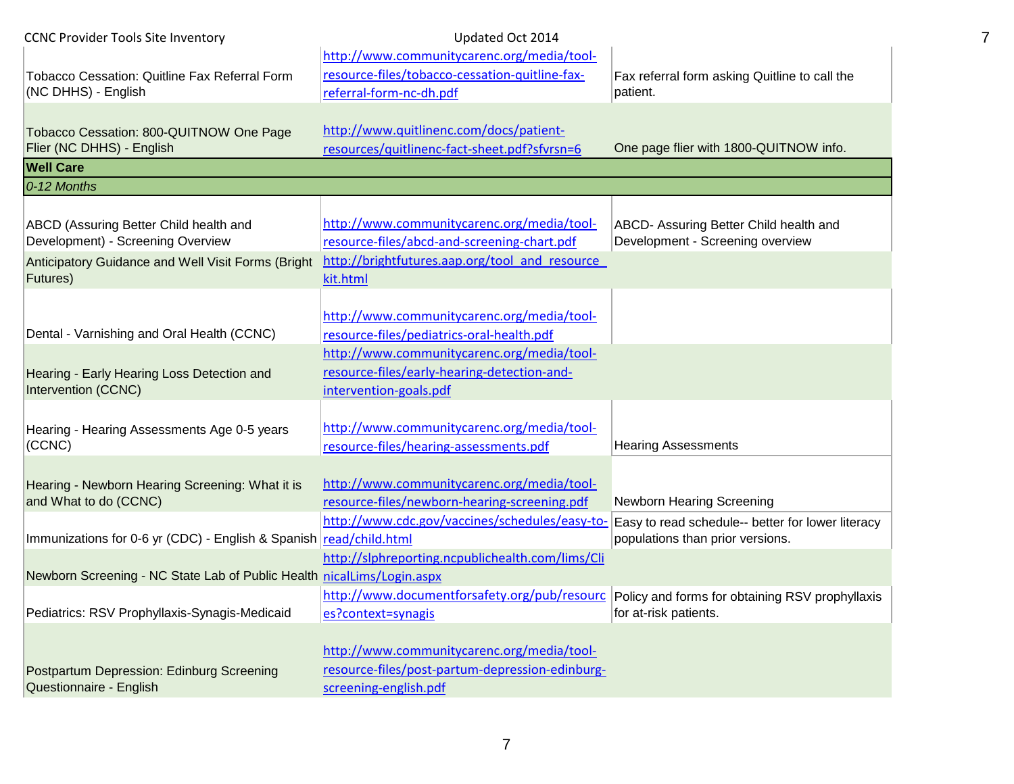| <b>CCNC Provider Tools Site Inventory</b>                                   | Updated Oct 2014                                                                              |                                                                            |
|-----------------------------------------------------------------------------|-----------------------------------------------------------------------------------------------|----------------------------------------------------------------------------|
| Tobacco Cessation: Quitline Fax Referral Form                               | http://www.communitycarenc.org/media/tool-<br>resource-files/tobacco-cessation-quitline-fax-  | Fax referral form asking Quitline to call the                              |
| (NC DHHS) - English                                                         | referral-form-nc-dh.pdf                                                                       | patient.                                                                   |
| Tobacco Cessation: 800-QUITNOW One Page                                     | http://www.quitlinenc.com/docs/patient-                                                       |                                                                            |
| Flier (NC DHHS) - English                                                   | resources/quitlinenc-fact-sheet.pdf?sfvrsn=6                                                  | One page flier with 1800-QUITNOW info.                                     |
| <b>Well Care</b>                                                            |                                                                                               |                                                                            |
| 0-12 Months                                                                 |                                                                                               |                                                                            |
|                                                                             |                                                                                               |                                                                            |
| ABCD (Assuring Better Child health and<br>Development) - Screening Overview | http://www.communitycarenc.org/media/tool-<br>resource-files/abcd-and-screening-chart.pdf     | ABCD- Assuring Better Child health and<br>Development - Screening overview |
| Anticipatory Guidance and Well Visit Forms (Bright                          | http://brightfutures.aap.org/tool and resource                                                |                                                                            |
| Futures)                                                                    | kit.html                                                                                      |                                                                            |
|                                                                             | http://www.communitycarenc.org/media/tool-                                                    |                                                                            |
| Dental - Varnishing and Oral Health (CCNC)                                  | resource-files/pediatrics-oral-health.pdf                                                     |                                                                            |
|                                                                             | http://www.communitycarenc.org/media/tool-                                                    |                                                                            |
| Hearing - Early Hearing Loss Detection and                                  | resource-files/early-hearing-detection-and-                                                   |                                                                            |
| Intervention (CCNC)                                                         | intervention-goals.pdf                                                                        |                                                                            |
|                                                                             |                                                                                               |                                                                            |
| Hearing - Hearing Assessments Age 0-5 years                                 | http://www.communitycarenc.org/media/tool-                                                    |                                                                            |
| (CCNC)                                                                      | resource-files/hearing-assessments.pdf                                                        | <b>Hearing Assessments</b>                                                 |
| Hearing - Newborn Hearing Screening: What it is                             | http://www.communitycarenc.org/media/tool-                                                    |                                                                            |
| and What to do (CCNC)                                                       | resource-files/newborn-hearing-screening.pdf                                                  | Newborn Hearing Screening                                                  |
|                                                                             | http://www.cdc.gov/vaccines/schedules/easy-to-                                                | Easy to read schedule-- better for lower literacy                          |
| Immunizations for 0-6 yr (CDC) - English & Spanish read/child.html          |                                                                                               | populations than prior versions.                                           |
|                                                                             | http://slphreporting.ncpublichealth.com/lims/Cli                                              |                                                                            |
| Newborn Screening - NC State Lab of Public Health nicalLims/Login.aspx      |                                                                                               |                                                                            |
|                                                                             | http://www.documentforsafety.org/pub/resourc Policy and forms for obtaining RSV prophyllaxis  |                                                                            |
| Pediatrics: RSV Prophyllaxis-Synagis-Medicaid                               | es?context=synagis                                                                            | for at-risk patients.                                                      |
|                                                                             |                                                                                               |                                                                            |
|                                                                             | http://www.communitycarenc.org/media/tool-<br>resource-files/post-partum-depression-edinburg- |                                                                            |
| Postpartum Depression: Edinburg Screening<br>Questionnaire - English        | screening-english.pdf                                                                         |                                                                            |
|                                                                             |                                                                                               |                                                                            |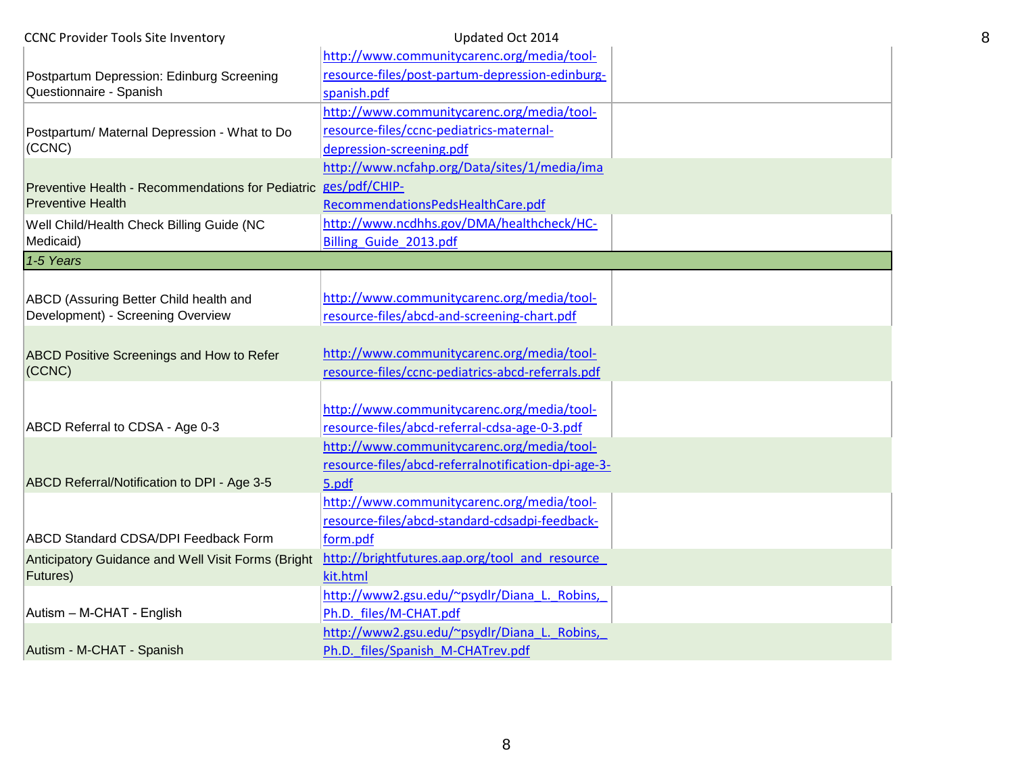| <b>CCNC Provider Tools Site Inventory</b>          | Updated Oct 2014                                    |  |
|----------------------------------------------------|-----------------------------------------------------|--|
|                                                    | http://www.communitycarenc.org/media/tool-          |  |
| Postpartum Depression: Edinburg Screening          | resource-files/post-partum-depression-edinburg-     |  |
| Questionnaire - Spanish                            | spanish.pdf                                         |  |
|                                                    | http://www.communitycarenc.org/media/tool-          |  |
| Postpartum/ Maternal Depression - What to Do       | resource-files/ccnc-pediatrics-maternal-            |  |
| (CCNC)                                             | depression-screening.pdf                            |  |
|                                                    | http://www.ncfahp.org/Data/sites/1/media/ima        |  |
| Preventive Health - Recommendations for Pediatric  | ges/pdf/CHIP-                                       |  |
| <b>Preventive Health</b>                           | RecommendationsPedsHealthCare.pdf                   |  |
| Well Child/Health Check Billing Guide (NC          | http://www.ncdhhs.gov/DMA/healthcheck/HC-           |  |
| Medicaid)                                          | Billing Guide 2013.pdf                              |  |
| 1-5 Years                                          |                                                     |  |
|                                                    |                                                     |  |
| ABCD (Assuring Better Child health and             | http://www.communitycarenc.org/media/tool-          |  |
| Development) - Screening Overview                  | resource-files/abcd-and-screening-chart.pdf         |  |
|                                                    |                                                     |  |
| <b>ABCD Positive Screenings and How to Refer</b>   | http://www.communitycarenc.org/media/tool-          |  |
| (CCNC)                                             | resource-files/ccnc-pediatrics-abcd-referrals.pdf   |  |
|                                                    |                                                     |  |
|                                                    | http://www.communitycarenc.org/media/tool-          |  |
| ABCD Referral to CDSA - Age 0-3                    | resource-files/abcd-referral-cdsa-age-0-3.pdf       |  |
|                                                    | http://www.communitycarenc.org/media/tool-          |  |
|                                                    | resource-files/abcd-referralnotification-dpi-age-3- |  |
| ABCD Referral/Notification to DPI - Age 3-5        | 5.pdf                                               |  |
|                                                    | http://www.communitycarenc.org/media/tool-          |  |
| <b>ABCD Standard CDSA/DPI Feedback Form</b>        | resource-files/abcd-standard-cdsadpi-feedback-      |  |
|                                                    | form.pdf                                            |  |
| Anticipatory Guidance and Well Visit Forms (Bright | http://brightfutures.aap.org/tool and resource      |  |
| <b>Futures)</b>                                    | kit.html                                            |  |
|                                                    | http://www2.gsu.edu/~psydlr/Diana L. Robins,        |  |
| Autism - M-CHAT - English                          | Ph.D. files/M-CHAT.pdf                              |  |
|                                                    | http://www2.gsu.edu/~psydlr/Diana L. Robins,        |  |
| Autism - M-CHAT - Spanish                          | Ph.D. files/Spanish M-CHATrev.pdf                   |  |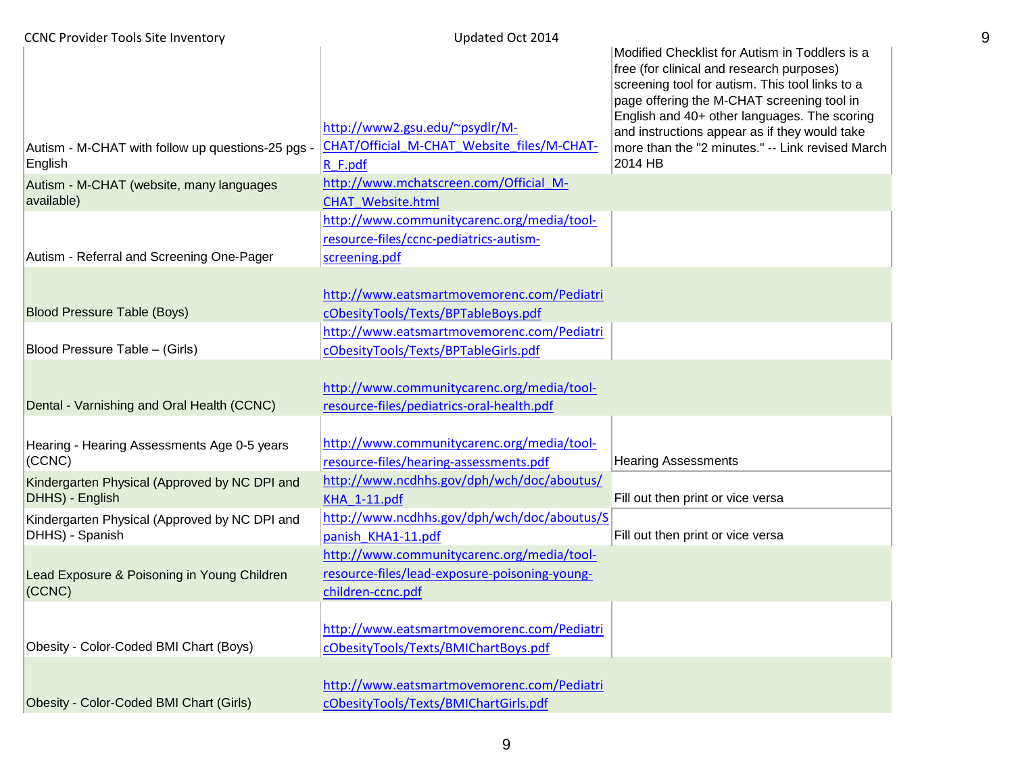| <b>CCNC Provider Tools Site Inventory</b>              | Updated Oct 2014                                                             |                                                                                                                                                                                                                                                                                                                                                   |
|--------------------------------------------------------|------------------------------------------------------------------------------|---------------------------------------------------------------------------------------------------------------------------------------------------------------------------------------------------------------------------------------------------------------------------------------------------------------------------------------------------|
| Autism - M-CHAT with follow up questions-25 pgs -      | http://www2.gsu.edu/~psydlr/M-<br>CHAT/Official M-CHAT Website files/M-CHAT- | Modified Checklist for Autism in Toddlers is a<br>free (for clinical and research purposes)<br>screening tool for autism. This tool links to a<br>page offering the M-CHAT screening tool in<br>English and 40+ other languages. The scoring<br>and instructions appear as if they would take<br>more than the "2 minutes." -- Link revised March |
| English                                                | $R$ F.pdf                                                                    | 2014 HB                                                                                                                                                                                                                                                                                                                                           |
| Autism - M-CHAT (website, many languages<br>available) | http://www.mchatscreen.com/Official M-<br><b>CHAT Website.html</b>           |                                                                                                                                                                                                                                                                                                                                                   |
|                                                        | http://www.communitycarenc.org/media/tool-                                   |                                                                                                                                                                                                                                                                                                                                                   |
|                                                        | resource-files/ccnc-pediatrics-autism-                                       |                                                                                                                                                                                                                                                                                                                                                   |
| Autism - Referral and Screening One-Pager              | screening.pdf                                                                |                                                                                                                                                                                                                                                                                                                                                   |
|                                                        |                                                                              |                                                                                                                                                                                                                                                                                                                                                   |
|                                                        | http://www.eatsmartmovemorenc.com/Pediatri                                   |                                                                                                                                                                                                                                                                                                                                                   |
| <b>Blood Pressure Table (Boys)</b>                     | cObesityTools/Texts/BPTableBoys.pdf                                          |                                                                                                                                                                                                                                                                                                                                                   |
|                                                        | http://www.eatsmartmovemorenc.com/Pediatri                                   |                                                                                                                                                                                                                                                                                                                                                   |
| Blood Pressure Table - (Girls)                         | cObesityTools/Texts/BPTableGirls.pdf                                         |                                                                                                                                                                                                                                                                                                                                                   |
|                                                        |                                                                              |                                                                                                                                                                                                                                                                                                                                                   |
|                                                        | http://www.communitycarenc.org/media/tool-                                   |                                                                                                                                                                                                                                                                                                                                                   |
| Dental - Varnishing and Oral Health (CCNC)             | resource-files/pediatrics-oral-health.pdf                                    |                                                                                                                                                                                                                                                                                                                                                   |
|                                                        | http://www.communitycarenc.org/media/tool-                                   |                                                                                                                                                                                                                                                                                                                                                   |
| Hearing - Hearing Assessments Age 0-5 years<br>(CCNC)  | resource-files/hearing-assessments.pdf                                       | <b>Hearing Assessments</b>                                                                                                                                                                                                                                                                                                                        |
| Kindergarten Physical (Approved by NC DPI and          | http://www.ncdhhs.gov/dph/wch/doc/aboutus/                                   |                                                                                                                                                                                                                                                                                                                                                   |
| DHHS) - English                                        | KHA_1-11.pdf                                                                 | Fill out then print or vice versa                                                                                                                                                                                                                                                                                                                 |
| Kindergarten Physical (Approved by NC DPI and          | http://www.ncdhhs.gov/dph/wch/doc/aboutus/S                                  |                                                                                                                                                                                                                                                                                                                                                   |
| DHHS) - Spanish                                        | panish KHA1-11.pdf                                                           | Fill out then print or vice versa                                                                                                                                                                                                                                                                                                                 |
|                                                        | http://www.communitycarenc.org/media/tool-                                   |                                                                                                                                                                                                                                                                                                                                                   |
| Lead Exposure & Poisoning in Young Children            | resource-files/lead-exposure-poisoning-young-                                |                                                                                                                                                                                                                                                                                                                                                   |
| (CCNC)                                                 | children-ccnc.pdf                                                            |                                                                                                                                                                                                                                                                                                                                                   |
|                                                        |                                                                              |                                                                                                                                                                                                                                                                                                                                                   |
|                                                        | http://www.eatsmartmovemorenc.com/Pediatri                                   |                                                                                                                                                                                                                                                                                                                                                   |
| Obesity - Color-Coded BMI Chart (Boys)                 | cObesityTools/Texts/BMIChartBoys.pdf                                         |                                                                                                                                                                                                                                                                                                                                                   |
|                                                        |                                                                              |                                                                                                                                                                                                                                                                                                                                                   |
|                                                        | http://www.eatsmartmovemorenc.com/Pediatri                                   |                                                                                                                                                                                                                                                                                                                                                   |
| Obesity - Color-Coded BMI Chart (Girls)                | cObesityTools/Texts/BMIChartGirls.pdf                                        |                                                                                                                                                                                                                                                                                                                                                   |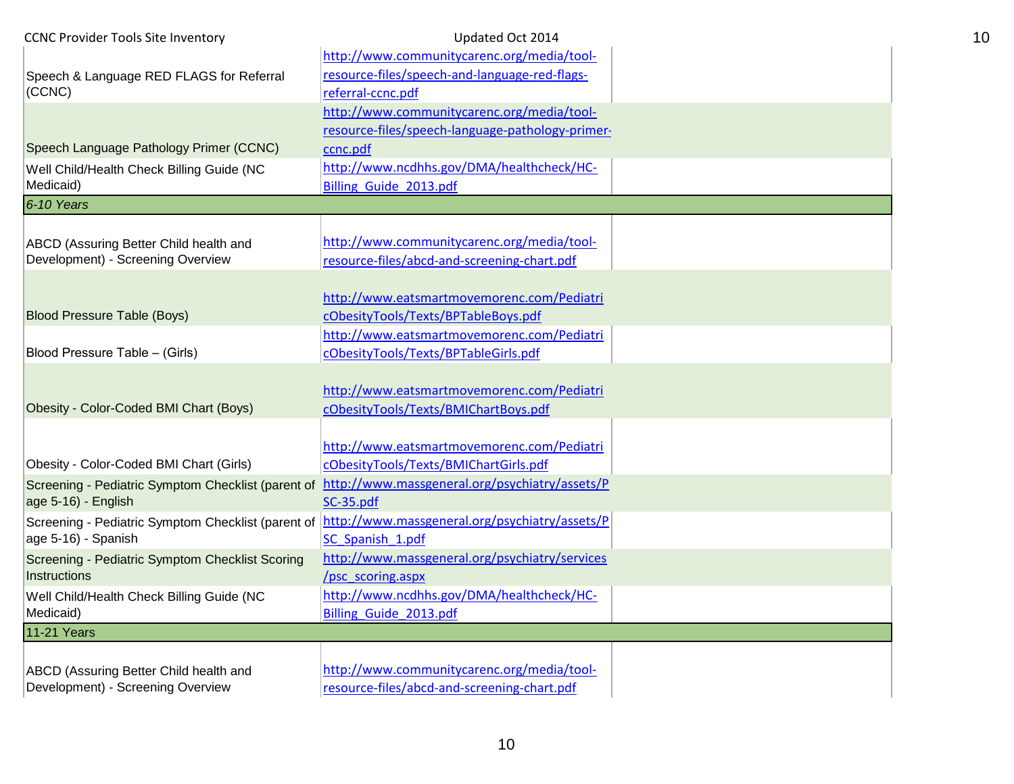| <b>CCNC Provider Tools Site Inventory</b>              | Updated Oct 2014                                                    |  |
|--------------------------------------------------------|---------------------------------------------------------------------|--|
|                                                        | http://www.communitycarenc.org/media/tool-                          |  |
| Speech & Language RED FLAGS for Referral               | resource-files/speech-and-language-red-flags-                       |  |
| (CCNC)                                                 | referral-ccnc.pdf                                                   |  |
|                                                        | http://www.communitycarenc.org/media/tool-                          |  |
|                                                        | resource-files/speech-language-pathology-primer-                    |  |
| Speech Language Pathology Primer (CCNC)                | ccnc.pdf                                                            |  |
| Well Child/Health Check Billing Guide (NC<br>Medicaid) | http://www.ncdhhs.gov/DMA/healthcheck/HC-<br>Billing Guide 2013.pdf |  |
| $6 - 10$ Years                                         |                                                                     |  |
|                                                        |                                                                     |  |
| ABCD (Assuring Better Child health and                 | http://www.communitycarenc.org/media/tool-                          |  |
| Development) - Screening Overview                      | resource-files/abcd-and-screening-chart.pdf                         |  |
|                                                        | http://www.eatsmartmovemorenc.com/Pediatri                          |  |
| <b>Blood Pressure Table (Boys)</b>                     | cObesityTools/Texts/BPTableBoys.pdf                                 |  |
|                                                        | http://www.eatsmartmovemorenc.com/Pediatri                          |  |
| Blood Pressure Table - (Girls)                         | cObesityTools/Texts/BPTableGirls.pdf                                |  |
|                                                        |                                                                     |  |
|                                                        | http://www.eatsmartmovemorenc.com/Pediatri                          |  |
| Obesity - Color-Coded BMI Chart (Boys)                 | cObesityTools/Texts/BMIChartBoys.pdf                                |  |
|                                                        |                                                                     |  |
|                                                        | http://www.eatsmartmovemorenc.com/Pediatri                          |  |
| Obesity - Color-Coded BMI Chart (Girls)                | cObesityTools/Texts/BMIChartGirls.pdf                               |  |
| Screening - Pediatric Symptom Checklist (parent of     | http://www.massgeneral.org/psychiatry/assets/P                      |  |
| age 5-16) - English                                    | SC-35.pdf                                                           |  |
| Screening - Pediatric Symptom Checklist (parent of     | http://www.massgeneral.org/psychiatry/assets/P                      |  |
| age 5-16) - Spanish                                    | SC Spanish 1.pdf                                                    |  |
| Screening - Pediatric Symptom Checklist Scoring        | http://www.massgeneral.org/psychiatry/services                      |  |
| Instructions                                           | /psc_scoring.aspx                                                   |  |
| Well Child/Health Check Billing Guide (NC              | http://www.ncdhhs.gov/DMA/healthcheck/HC-                           |  |
| Medicaid)                                              | Billing Guide 2013.pdf                                              |  |
| 11-21 Years                                            |                                                                     |  |
|                                                        |                                                                     |  |
| ABCD (Assuring Better Child health and                 | http://www.communitycarenc.org/media/tool-                          |  |
| Development) - Screening Overview                      | resource-files/abcd-and-screening-chart.pdf                         |  |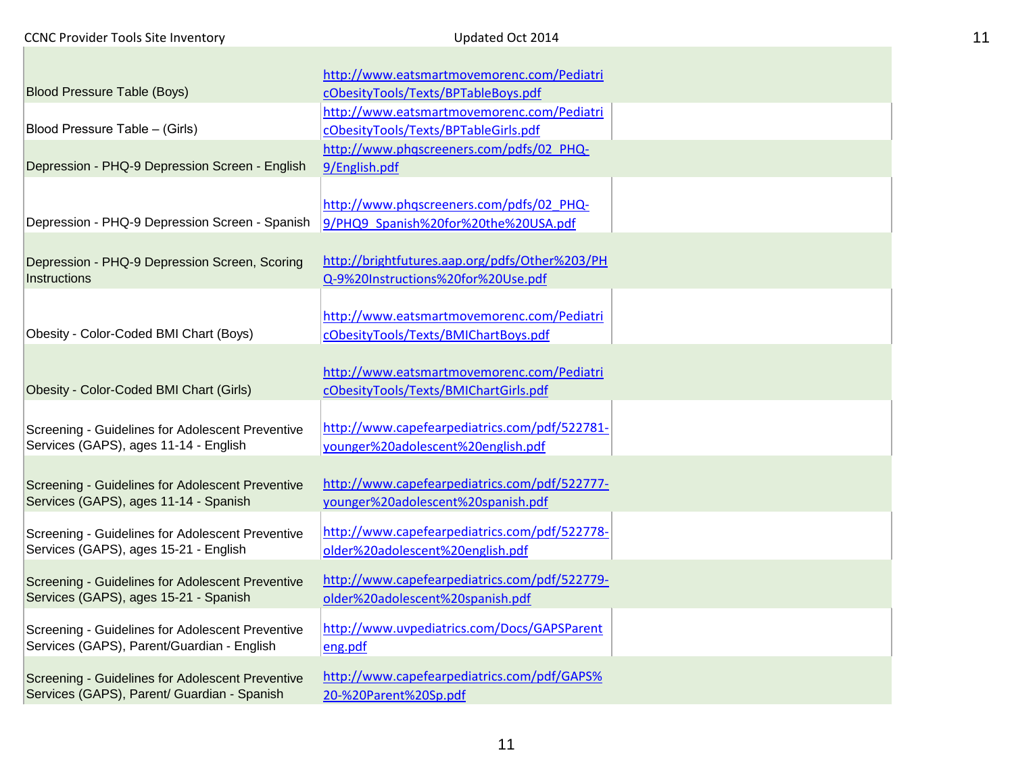П

| ۰. | ۰. |
|----|----|
|    |    |

|                                                                                                | http://www.eatsmartmovemorenc.com/Pediatri                                          |  |
|------------------------------------------------------------------------------------------------|-------------------------------------------------------------------------------------|--|
| <b>Blood Pressure Table (Boys)</b>                                                             | cObesityTools/Texts/BPTableBoys.pdf                                                 |  |
|                                                                                                | http://www.eatsmartmovemorenc.com/Pediatri                                          |  |
| Blood Pressure Table - (Girls)                                                                 | cObesityTools/Texts/BPTableGirls.pdf                                                |  |
|                                                                                                | http://www.phqscreeners.com/pdfs/02 PHQ-                                            |  |
| Depression - PHQ-9 Depression Screen - English                                                 | 9/English.pdf                                                                       |  |
|                                                                                                |                                                                                     |  |
|                                                                                                | http://www.phqscreeners.com/pdfs/02 PHQ-                                            |  |
| Depression - PHQ-9 Depression Screen - Spanish                                                 | 9/PHQ9 Spanish%20for%20the%20USA.pdf                                                |  |
|                                                                                                |                                                                                     |  |
| Depression - PHQ-9 Depression Screen, Scoring                                                  | http://brightfutures.aap.org/pdfs/Other%203/PH                                      |  |
| Instructions                                                                                   | Q-9%20Instructions%20for%20Use.pdf                                                  |  |
|                                                                                                |                                                                                     |  |
|                                                                                                | http://www.eatsmartmovemorenc.com/Pediatri                                          |  |
| Obesity - Color-Coded BMI Chart (Boys)                                                         | cObesityTools/Texts/BMIChartBoys.pdf                                                |  |
|                                                                                                |                                                                                     |  |
| Obesity - Color-Coded BMI Chart (Girls)                                                        | http://www.eatsmartmovemorenc.com/Pediatri<br>cObesityTools/Texts/BMIChartGirls.pdf |  |
|                                                                                                |                                                                                     |  |
| Screening - Guidelines for Adolescent Preventive                                               | http://www.capefearpediatrics.com/pdf/522781-                                       |  |
| Services (GAPS), ages 11-14 - English                                                          | younger%20adolescent%20english.pdf                                                  |  |
|                                                                                                |                                                                                     |  |
| Screening - Guidelines for Adolescent Preventive                                               | http://www.capefearpediatrics.com/pdf/522777-                                       |  |
| Services (GAPS), ages 11-14 - Spanish                                                          | younger%20adolescent%20spanish.pdf                                                  |  |
|                                                                                                |                                                                                     |  |
| Screening - Guidelines for Adolescent Preventive                                               | http://www.capefearpediatrics.com/pdf/522778-                                       |  |
| Services (GAPS), ages 15-21 - English                                                          | older%20adolescent%20english.pdf                                                    |  |
| Screening - Guidelines for Adolescent Preventive                                               | http://www.capefearpediatrics.com/pdf/522779-                                       |  |
| Services (GAPS), ages 15-21 - Spanish                                                          | older%20adolescent%20spanish.pdf                                                    |  |
|                                                                                                |                                                                                     |  |
| Screening - Guidelines for Adolescent Preventive<br>Services (GAPS), Parent/Guardian - English | http://www.uvpediatrics.com/Docs/GAPSParent                                         |  |
|                                                                                                | eng.pdf                                                                             |  |
| Screening - Guidelines for Adolescent Preventive                                               | http://www.capefearpediatrics.com/pdf/GAPS%                                         |  |
| Services (GAPS), Parent/ Guardian - Spanish                                                    | 20-%20Parent%20Sp.pdf                                                               |  |